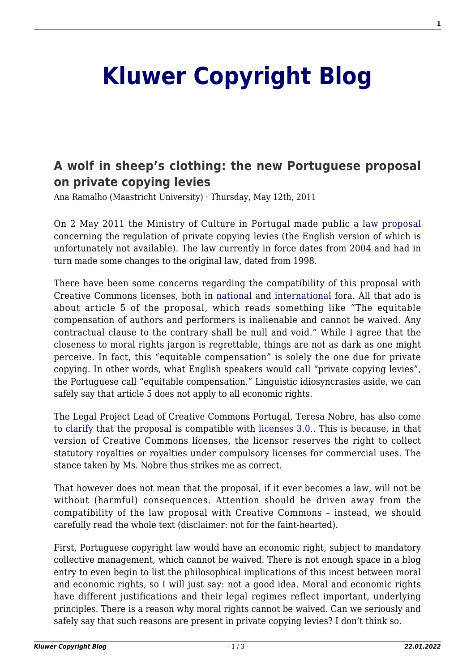## **[Kluwer Copyright Blog](http://copyrightblog.kluweriplaw.com/)**

## **[A wolf in sheep's clothing: the new Portuguese proposal](http://copyrightblog.kluweriplaw.com/2011/05/12/a-wolf-in-sheeps-clothing-the-new-portuguese-proposal-on-private-copying-levies/) [on private copying levies](http://copyrightblog.kluweriplaw.com/2011/05/12/a-wolf-in-sheeps-clothing-the-new-portuguese-proposal-on-private-copying-levies/)**

Ana Ramalho (Maastricht University) · Thursday, May 12th, 2011

On 2 May 2011 the Ministry of Culture in Portugal made public a [law proposal](http://blog.1407.org/2011/05/03/proposta-do-ps-de-lei-da-copia-privada/) concerning the regulation of private copying levies (the English version of which is unfortunately not available). The law currently in force dates from 2004 and had in turn made some changes to the original law, dated from 1998.

There have been some concerns regarding the compatibility of this proposal with Creative Commons licenses, both in [national](http://www.pcmanias.com/proposta-de-lei-da-copia-privada-ilegaliza-licencas-creative-commons/) and [international](http://www.technollama.co.uk/is-portugal-about-to-make-creative-commons-illegal?utm_source=rss&utm_medium=rss&utm_campaign=is-portugal-about-to-make-creative-commons-illegal&wpmp_switcher=mobile) fora. All that ado is about article 5 of the proposal, which reads something like "The equitable compensation of authors and performers is inalienable and cannot be waived. Any contractual clause to the contrary shall be null and void." While I agree that the closeness to moral rights jargon is regrettable, things are not as dark as one might perceive. In fact, this "equitable compensation" is solely the one due for private copying. In other words, what English speakers would call "private copying levies", the Portuguese call "equitable compensation." Linguistic idiosyncrasies aside, we can safely say that article 5 does not apply to all economic rights.

The Legal Project Lead of Creative Commons Portugal, Teresa Nobre, has also come to [clarify](http://www.inteli.pt/uploads/cms/20110511120456_Proposta_de_Lei_da_Copia_Privada_NAO_ilegaliza_licencas_CC.pdf) that the proposal is compatible with [licenses 3.0..](http://wiki.creativecommons.org/Version_3) This is because, in that version of Creative Commons licenses, the licensor reserves the right to collect statutory royalties or royalties under compulsory licenses for commercial uses. The stance taken by Ms. Nobre thus strikes me as correct.

That however does not mean that the proposal, if it ever becomes a law, will not be without (harmful) consequences. Attention should be driven away from the compatibility of the law proposal with Creative Commons – instead, we should carefully read the whole text (disclaimer: not for the faint-hearted).

First, Portuguese copyright law would have an economic right, subject to mandatory collective management, which cannot be waived. There is not enough space in a blog entry to even begin to list the philosophical implications of this incest between moral and economic rights, so I will just say: not a good idea. Moral and economic rights have different justifications and their legal regimes reflect important, underlying principles. There is a reason why moral rights cannot be waived. Can we seriously and safely say that such reasons are present in private copying levies? I don't think so.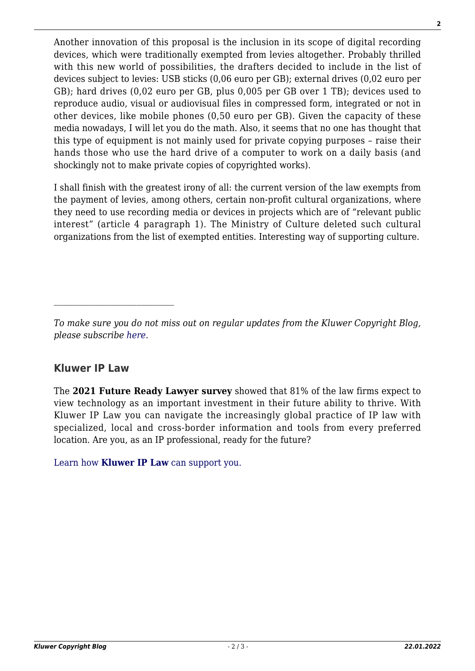Another innovation of this proposal is the inclusion in its scope of digital recording devices, which were traditionally exempted from levies altogether. Probably thrilled with this new world of possibilities, the drafters decided to include in the list of devices subject to levies: USB sticks (0,06 euro per GB); external drives (0,02 euro per GB); hard drives (0,02 euro per GB, plus 0,005 per GB over 1 TB); devices used to reproduce audio, visual or audiovisual files in compressed form, integrated or not in other devices, like mobile phones (0,50 euro per GB). Given the capacity of these media nowadays, I will let you do the math. Also, it seems that no one has thought that this type of equipment is not mainly used for private copying purposes – raise their hands those who use the hard drive of a computer to work on a daily basis (and shockingly not to make private copies of copyrighted works).

I shall finish with the greatest irony of all: the current version of the law exempts from the payment of levies, among others, certain non-profit cultural organizations, where they need to use recording media or devices in projects which are of "relevant public interest" (article 4 paragraph 1). The Ministry of Culture deleted such cultural organizations from the list of exempted entities. Interesting way of supporting culture.

## **Kluwer IP Law**

 $\mathcal{L}_\text{max}$ 

The **2021 Future Ready Lawyer survey** showed that 81% of the law firms expect to view technology as an important investment in their future ability to thrive. With Kluwer IP Law you can navigate the increasingly global practice of IP law with specialized, local and cross-border information and tools from every preferred location. Are you, as an IP professional, ready for the future?

[Learn how](https://www.wolterskluwer.com/en/solutions/kluweriplaw?utm_source=copyrightnblog&utm_medium=articleCTA&utm_campaign=article-banner) **[Kluwer IP Law](https://www.wolterskluwer.com/en/solutions/kluweriplaw?utm_source=copyrightnblog&utm_medium=articleCTA&utm_campaign=article-banner)** [can support you.](https://www.wolterskluwer.com/en/solutions/kluweriplaw?utm_source=copyrightnblog&utm_medium=articleCTA&utm_campaign=article-banner)

*To make sure you do not miss out on regular updates from the Kluwer Copyright Blog, please subscribe [here.](http://copyrightblog.kluweriplaw.com/newsletter)*